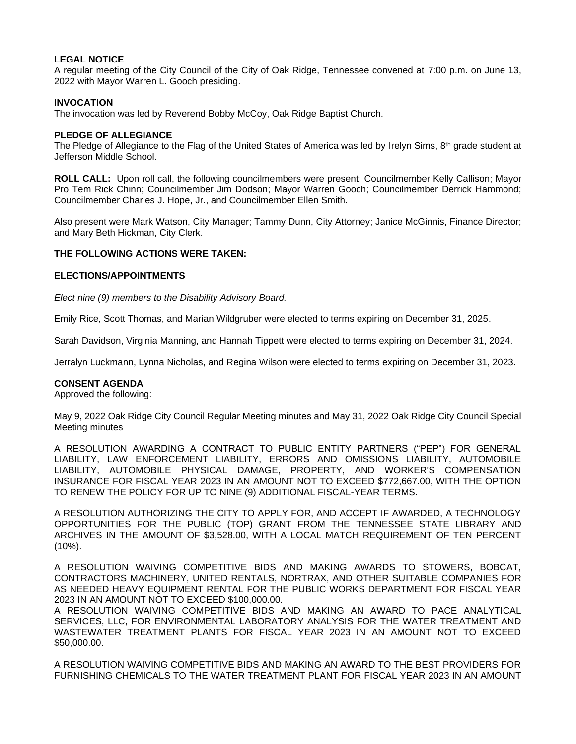## **LEGAL NOTICE**

A regular meeting of the City Council of the City of Oak Ridge, Tennessee convened at 7:00 p.m. on June 13, 2022 with Mayor Warren L. Gooch presiding.

## **INVOCATION**

The invocation was led by Reverend Bobby McCoy, Oak Ridge Baptist Church.

#### **PLEDGE OF ALLEGIANCE**

The Pledge of Allegiance to the Flag of the United States of America was led by Irelyn Sims, 8th grade student at Jefferson Middle School.

**ROLL CALL:** Upon roll call, the following councilmembers were present: Councilmember Kelly Callison; Mayor Pro Tem Rick Chinn; Councilmember Jim Dodson; Mayor Warren Gooch; Councilmember Derrick Hammond; Councilmember Charles J. Hope, Jr., and Councilmember Ellen Smith.

Also present were Mark Watson, City Manager; Tammy Dunn, City Attorney; Janice McGinnis, Finance Director; and Mary Beth Hickman, City Clerk.

## **THE FOLLOWING ACTIONS WERE TAKEN:**

### **ELECTIONS/APPOINTMENTS**

*Elect nine (9) members to the Disability Advisory Board.*

Emily Rice, Scott Thomas, and Marian Wildgruber were elected to terms expiring on December 31, 2025.

Sarah Davidson, Virginia Manning, and Hannah Tippett were elected to terms expiring on December 31, 2024.

Jerralyn Luckmann, Lynna Nicholas, and Regina Wilson were elected to terms expiring on December 31, 2023.

### **CONSENT AGENDA**

Approved the following:

May 9, 2022 Oak Ridge City Council Regular Meeting minutes and May 31, 2022 Oak Ridge City Council Special Meeting minutes

A RESOLUTION AWARDING A CONTRACT TO PUBLIC ENTITY PARTNERS ("PEP") FOR GENERAL LIABILITY, LAW ENFORCEMENT LIABILITY, ERRORS AND OMISSIONS LIABILITY, AUTOMOBILE LIABILITY, AUTOMOBILE PHYSICAL DAMAGE, PROPERTY, AND WORKER'S COMPENSATION INSURANCE FOR FISCAL YEAR 2023 IN AN AMOUNT NOT TO EXCEED \$772,667.00, WITH THE OPTION TO RENEW THE POLICY FOR UP TO NINE (9) ADDITIONAL FISCAL-YEAR TERMS.

A RESOLUTION AUTHORIZING THE CITY TO APPLY FOR, AND ACCEPT IF AWARDED, A TECHNOLOGY OPPORTUNITIES FOR THE PUBLIC (TOP) GRANT FROM THE TENNESSEE STATE LIBRARY AND ARCHIVES IN THE AMOUNT OF \$3,528.00, WITH A LOCAL MATCH REQUIREMENT OF TEN PERCENT (10%).

A RESOLUTION WAIVING COMPETITIVE BIDS AND MAKING AWARDS TO STOWERS, BOBCAT, CONTRACTORS MACHINERY, UNITED RENTALS, NORTRAX, AND OTHER SUITABLE COMPANIES FOR AS NEEDED HEAVY EQUIPMENT RENTAL FOR THE PUBLIC WORKS DEPARTMENT FOR FISCAL YEAR 2023 IN AN AMOUNT NOT TO EXCEED \$100,000.00.

A RESOLUTION WAIVING COMPETITIVE BIDS AND MAKING AN AWARD TO PACE ANALYTICAL SERVICES, LLC, FOR ENVIRONMENTAL LABORATORY ANALYSIS FOR THE WATER TREATMENT AND WASTEWATER TREATMENT PLANTS FOR FISCAL YEAR 2023 IN AN AMOUNT NOT TO EXCEED \$50,000.00.

A RESOLUTION WAIVING COMPETITIVE BIDS AND MAKING AN AWARD TO THE BEST PROVIDERS FOR FURNISHING CHEMICALS TO THE WATER TREATMENT PLANT FOR FISCAL YEAR 2023 IN AN AMOUNT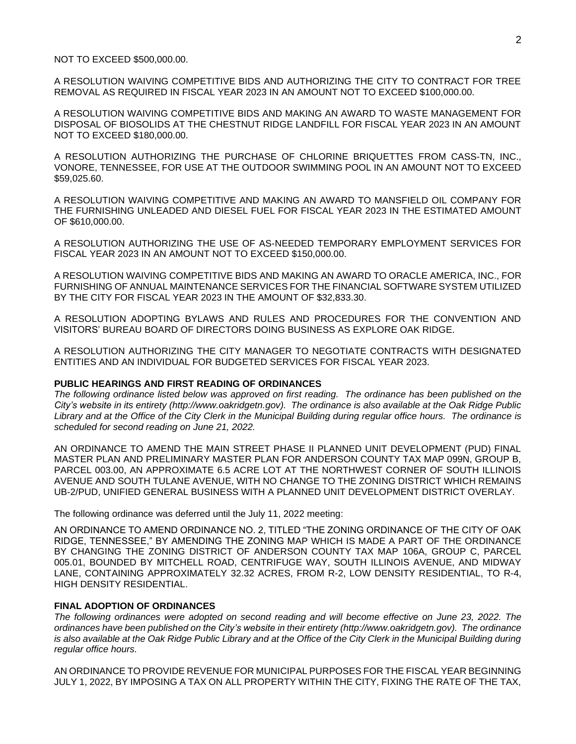NOT TO EXCEED \$500,000.00.

A RESOLUTION WAIVING COMPETITIVE BIDS AND AUTHORIZING THE CITY TO CONTRACT FOR TREE REMOVAL AS REQUIRED IN FISCAL YEAR 2023 IN AN AMOUNT NOT TO EXCEED \$100,000.00.

A RESOLUTION WAIVING COMPETITIVE BIDS AND MAKING AN AWARD TO WASTE MANAGEMENT FOR DISPOSAL OF BIOSOLIDS AT THE CHESTNUT RIDGE LANDFILL FOR FISCAL YEAR 2023 IN AN AMOUNT NOT TO EXCEED \$180,000.00.

A RESOLUTION AUTHORIZING THE PURCHASE OF CHLORINE BRIQUETTES FROM CASS-TN, INC., VONORE, TENNESSEE, FOR USE AT THE OUTDOOR SWIMMING POOL IN AN AMOUNT NOT TO EXCEED \$59,025.60.

A RESOLUTION WAIVING COMPETITIVE AND MAKING AN AWARD TO MANSFIELD OIL COMPANY FOR THE FURNISHING UNLEADED AND DIESEL FUEL FOR FISCAL YEAR 2023 IN THE ESTIMATED AMOUNT OF \$610,000.00.

A RESOLUTION AUTHORIZING THE USE OF AS-NEEDED TEMPORARY EMPLOYMENT SERVICES FOR FISCAL YEAR 2023 IN AN AMOUNT NOT TO EXCEED \$150,000.00.

A RESOLUTION WAIVING COMPETITIVE BIDS AND MAKING AN AWARD TO ORACLE AMERICA, INC., FOR FURNISHING OF ANNUAL MAINTENANCE SERVICES FOR THE FINANCIAL SOFTWARE SYSTEM UTILIZED BY THE CITY FOR FISCAL YEAR 2023 IN THE AMOUNT OF \$32,833.30.

A RESOLUTION ADOPTING BYLAWS AND RULES AND PROCEDURES FOR THE CONVENTION AND VISITORS' BUREAU BOARD OF DIRECTORS DOING BUSINESS AS EXPLORE OAK RIDGE.

A RESOLUTION AUTHORIZING THE CITY MANAGER TO NEGOTIATE CONTRACTS WITH DESIGNATED ENTITIES AND AN INDIVIDUAL FOR BUDGETED SERVICES FOR FISCAL YEAR 2023.

# **PUBLIC HEARINGS AND FIRST READING OF ORDINANCES**

*The following ordinance listed below was approved on first reading. The ordinance has been published on the City's website in its entirety (http://www.oakridgetn.gov). The ordinance is also available at the Oak Ridge Public Library and at the Office of the City Clerk in the Municipal Building during regular office hours. The ordinance is scheduled for second reading on June 21, 2022.*

AN ORDINANCE TO AMEND THE MAIN STREET PHASE II PLANNED UNIT DEVELOPMENT (PUD) FINAL MASTER PLAN AND PRELIMINARY MASTER PLAN FOR ANDERSON COUNTY TAX MAP 099N, GROUP B, PARCEL 003.00, AN APPROXIMATE 6.5 ACRE LOT AT THE NORTHWEST CORNER OF SOUTH ILLINOIS AVENUE AND SOUTH TULANE AVENUE, WITH NO CHANGE TO THE ZONING DISTRICT WHICH REMAINS UB-2/PUD, UNIFIED GENERAL BUSINESS WITH A PLANNED UNIT DEVELOPMENT DISTRICT OVERLAY.

The following ordinance was deferred until the July 11, 2022 meeting:

AN ORDINANCE TO AMEND ORDINANCE NO. 2, TITLED "THE ZONING ORDINANCE OF THE CITY OF OAK RIDGE, TENNESSEE," BY AMENDING THE ZONING MAP WHICH IS MADE A PART OF THE ORDINANCE BY CHANGING THE ZONING DISTRICT OF ANDERSON COUNTY TAX MAP 106A, GROUP C, PARCEL 005.01, BOUNDED BY MITCHELL ROAD, CENTRIFUGE WAY, SOUTH ILLINOIS AVENUE, AND MIDWAY LANE, CONTAINING APPROXIMATELY 32.32 ACRES, FROM R-2, LOW DENSITY RESIDENTIAL, TO R-4, HIGH DENSITY RESIDENTIAL.

## **FINAL ADOPTION OF ORDINANCES**

*The following ordinances were adopted on second reading and will become effective on June 23, 2022. The ordinances have been published on the City's website in their entirety (http://www.oakridgetn.gov). The ordinance* is also available at the Oak Ridge Public Library and at the Office of the City Clerk in the Municipal Building during *regular office hours.*

AN ORDINANCE TO PROVIDE REVENUE FOR MUNICIPAL PURPOSES FOR THE FISCAL YEAR BEGINNING JULY 1, 2022, BY IMPOSING A TAX ON ALL PROPERTY WITHIN THE CITY, FIXING THE RATE OF THE TAX,